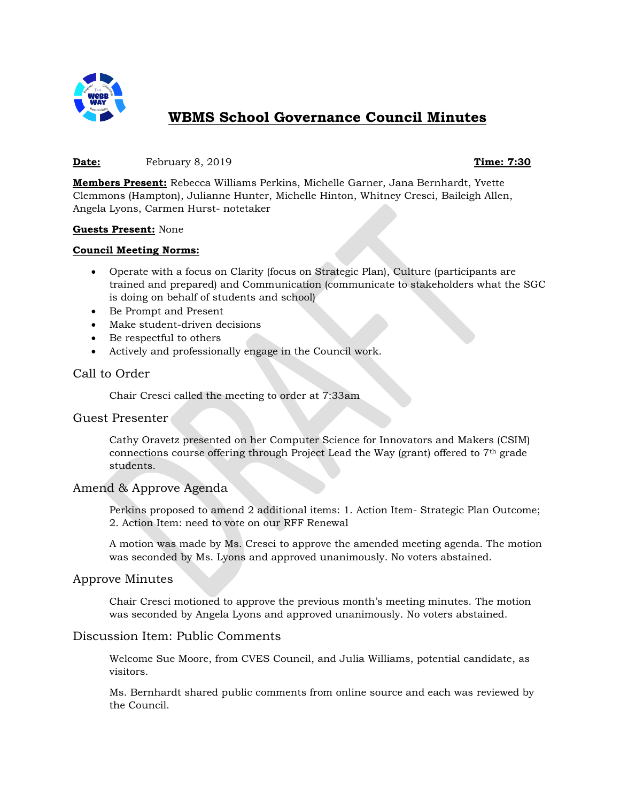

# **WBMS School Governance Council Minutes**

#### **Date:** February 8, 2019 **Time: 7:30**

**Members Present:** Rebecca Williams Perkins, Michelle Garner, Jana Bernhardt, Yvette Clemmons (Hampton), Julianne Hunter, Michelle Hinton, Whitney Cresci, Baileigh Allen, Angela Lyons, Carmen Hurst- notetaker

#### **Guests Present:** None

#### **Council Meeting Norms:**

- Operate with a focus on Clarity (focus on Strategic Plan), Culture (participants are trained and prepared) and Communication (communicate to stakeholders what the SGC is doing on behalf of students and school)
- Be Prompt and Present
- Make student-driven decisions
- Be respectful to others
- Actively and professionally engage in the Council work.

# Call to Order

Chair Cresci called the meeting to order at 7:33am

# Guest Presenter

Cathy Oravetz presented on her Computer Science for Innovators and Makers (CSIM) connections course offering through Project Lead the Way (grant) offered to 7th grade students.

# Amend & Approve Agenda

Perkins proposed to amend 2 additional items: 1. Action Item- Strategic Plan Outcome; 2. Action Item: need to vote on our RFF Renewal

A motion was made by Ms. Cresci to approve the amended meeting agenda. The motion was seconded by Ms. Lyons and approved unanimously. No voters abstained.

# Approve Minutes

Chair Cresci motioned to approve the previous month's meeting minutes. The motion was seconded by Angela Lyons and approved unanimously. No voters abstained.

# Discussion Item: Public Comments

Welcome Sue Moore, from CVES Council, and Julia Williams, potential candidate, as visitors.

Ms. Bernhardt shared public comments from online source and each was reviewed by the Council.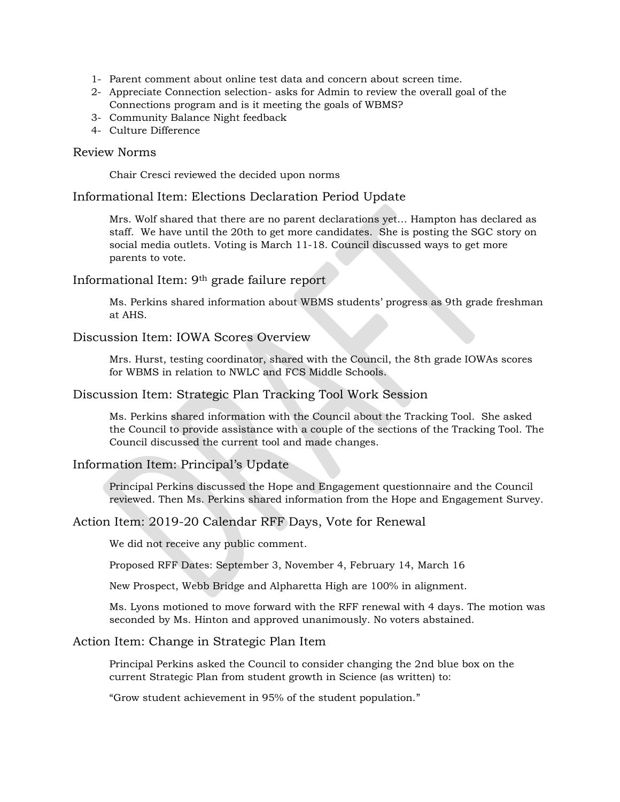- 1- Parent comment about online test data and concern about screen time.
- 2- Appreciate Connection selection- asks for Admin to review the overall goal of the Connections program and is it meeting the goals of WBMS?
- 3- Community Balance Night feedback
- 4- Culture Difference

#### Review Norms

Chair Cresci reviewed the decided upon norms

#### Informational Item: Elections Declaration Period Update

Mrs. Wolf shared that there are no parent declarations yet… Hampton has declared as staff. We have until the 20th to get more candidates. She is posting the SGC story on social media outlets. Voting is March 11-18. Council discussed ways to get more parents to vote.

# Informational Item: 9th grade failure report

Ms. Perkins shared information about WBMS students' progress as 9th grade freshman at AHS.

#### Discussion Item: IOWA Scores Overview

Mrs. Hurst, testing coordinator, shared with the Council, the 8th grade IOWAs scores for WBMS in relation to NWLC and FCS Middle Schools.

# Discussion Item: Strategic Plan Tracking Tool Work Session

Ms. Perkins shared information with the Council about the Tracking Tool. She asked the Council to provide assistance with a couple of the sections of the Tracking Tool. The Council discussed the current tool and made changes.

# Information Item: Principal's Update

Principal Perkins discussed the Hope and Engagement questionnaire and the Council reviewed. Then Ms. Perkins shared information from the Hope and Engagement Survey.

# Action Item: 2019-20 Calendar RFF Days, Vote for Renewal

We did not receive any public comment.

Proposed RFF Dates: September 3, November 4, February 14, March 16

New Prospect, Webb Bridge and Alpharetta High are 100% in alignment.

Ms. Lyons motioned to move forward with the RFF renewal with 4 days. The motion was seconded by Ms. Hinton and approved unanimously. No voters abstained.

#### Action Item: Change in Strategic Plan Item

Principal Perkins asked the Council to consider changing the 2nd blue box on the current Strategic Plan from student growth in Science (as written) to:

"Grow student achievement in 95% of the student population."